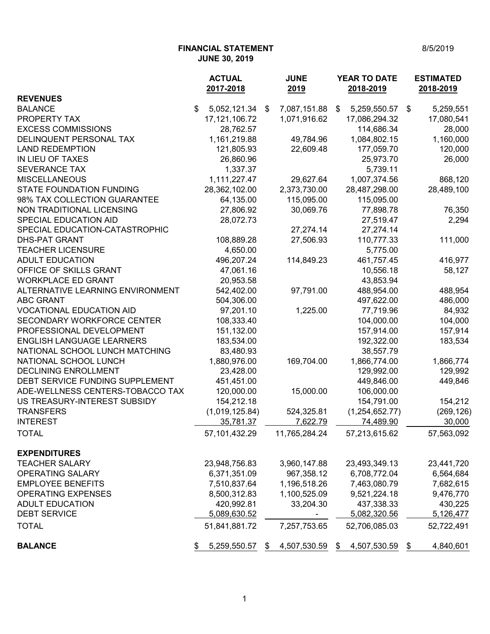**FINANCIAL STATEMENT** 8/5/2019 **JUNE 30, 2019**

|                                  | <b>ACTUAL</b><br>2017-2018 | <b>JUNE</b><br>2019 | <b>YEAR TO DATE</b><br>2018-2019          | <b>ESTIMATED</b><br>2018-2019 |
|----------------------------------|----------------------------|---------------------|-------------------------------------------|-------------------------------|
| <b>REVENUES</b>                  |                            |                     |                                           |                               |
| <b>BALANCE</b>                   | \$<br>5,052,121.34         | 7,087,151.88<br>\$  | 5,259,550.57<br>$\boldsymbol{\mathsf{S}}$ | 5,259,551<br>\$               |
| <b>PROPERTY TAX</b>              | 17, 121, 106. 72           | 1,071,916.62        | 17,086,294.32                             | 17,080,541                    |
| <b>EXCESS COMMISSIONS</b>        | 28,762.57                  |                     | 114,686.34                                | 28,000                        |
| DELINQUENT PERSONAL TAX          | 1,161,219.88               | 49,784.96           | 1,084,802.15                              | 1,160,000                     |
| <b>LAND REDEMPTION</b>           | 121,805.93                 | 22,609.48           | 177,059.70                                | 120,000                       |
| IN LIEU OF TAXES                 | 26,860.96                  |                     | 25,973.70                                 | 26,000                        |
| <b>SEVERANCE TAX</b>             | 1,337.37                   |                     | 5,739.11                                  |                               |
| <b>MISCELLANEOUS</b>             | 1,111,227.47               | 29,627.64           | 1,007,374.56                              | 868,120                       |
| <b>STATE FOUNDATION FUNDING</b>  | 28,362,102.00              | 2,373,730.00        | 28,487,298.00                             | 28,489,100                    |
| 98% TAX COLLECTION GUARANTEE     | 64,135.00                  | 115,095.00          | 115,095.00                                |                               |
| NON TRADITIONAL LICENSING        | 27,806.92                  | 30,069.76           | 77,898.78                                 | 76,350                        |
| SPECIAL EDUCATION AID            | 28,072.73                  |                     | 27,519.47                                 | 2,294                         |
| SPECIAL EDUCATION-CATASTROPHIC   |                            | 27,274.14           | 27,274.14                                 |                               |
| <b>DHS-PAT GRANT</b>             | 108,889.28                 | 27,506.93           | 110,777.33                                | 111,000                       |
| <b>TEACHER LICENSURE</b>         | 4,650.00                   |                     | 5,775.00                                  |                               |
| <b>ADULT EDUCATION</b>           | 496,207.24                 | 114,849.23          | 461,757.45                                | 416,977                       |
| OFFICE OF SKILLS GRANT           | 47,061.16                  |                     | 10,556.18                                 | 58,127                        |
| <b>WORKPLACE ED GRANT</b>        | 20,953.58                  |                     | 43,853.94                                 |                               |
| ALTERNATIVE LEARNING ENVIRONMENT | 542,402.00                 | 97,791.00           | 488,954.00                                | 488,954                       |
| <b>ABC GRANT</b>                 | 504,306.00                 |                     | 497,622.00                                | 486,000                       |
| <b>VOCATIONAL EDUCATION AID</b>  | 97,201.10                  | 1,225.00            | 77,719.96                                 | 84,932                        |
| SECONDARY WORKFORCE CENTER       | 108,333.40                 |                     | 104,000.00                                | 104,000                       |
| PROFESSIONAL DEVELOPMENT         | 151,132.00                 |                     | 157,914.00                                | 157,914                       |
| <b>ENGLISH LANGUAGE LEARNERS</b> | 183,534.00                 |                     | 192,322.00                                | 183,534                       |
| NATIONAL SCHOOL LUNCH MATCHING   | 83,480.93                  |                     | 38,557.79                                 |                               |
| NATIONAL SCHOOL LUNCH            | 1,880,976.00               | 169,704.00          | 1,866,774.00                              | 1,866,774                     |
| <b>DECLINING ENROLLMENT</b>      | 23,428.00                  |                     | 129,992.00                                | 129,992                       |
| DEBT SERVICE FUNDING SUPPLEMENT  | 451,451.00                 |                     | 449,846.00                                | 449,846                       |
| ADE-WELLNESS CENTERS-TOBACCO TAX | 120,000.00                 | 15,000.00           | 106,000.00                                |                               |
| US TREASURY-INTEREST SUBSIDY     | 154,212.18                 |                     | 154,791.00                                | 154,212                       |
| <b>TRANSFERS</b>                 | (1,019,125.84)             | 524,325.81          | (1,254,652.77)                            |                               |
| <b>INTEREST</b>                  | 35,781.37                  | 7,622.79            | 74,489.90                                 | (269, 126)<br>30,000          |
|                                  |                            |                     |                                           |                               |
| <b>TOTAL</b>                     | 57,101,432.29              | 11,765,284.24       | 57,213,615.62                             | 57,563,092                    |
| <b>EXPENDITURES</b>              |                            |                     |                                           |                               |
| <b>TEACHER SALARY</b>            | 23,948,756.83              | 3,960,147.88        | 23,493,349.13                             | 23,441,720                    |
| <b>OPERATING SALARY</b>          | 6,371,351.09               | 967,358.12          | 6,708,772.04                              | 6,564,684                     |
| <b>EMPLOYEE BENEFITS</b>         | 7,510,837.64               | 1,196,518.26        | 7,463,080.79                              | 7,682,615                     |
| <b>OPERATING EXPENSES</b>        | 8,500,312.83               | 1,100,525.09        | 9,521,224.18                              | 9,476,770                     |
| <b>ADULT EDUCATION</b>           | 420,992.81                 | 33,204.30           | 437,338.33                                | 430,225                       |
| <b>DEBT SERVICE</b>              | 5,089,630.52               |                     | 5,082,320.56                              | 5,126,477                     |
|                                  | 51,841,881.72              |                     |                                           |                               |
| <b>TOTAL</b>                     |                            | 7,257,753.65        | 52,706,085.03                             | 52,722,491                    |
| <b>BALANCE</b>                   | 5,259,550.57<br>\$         | 4,507,530.59<br>\$  | 4,507,530.59<br>\$                        | 4,840,601<br>\$               |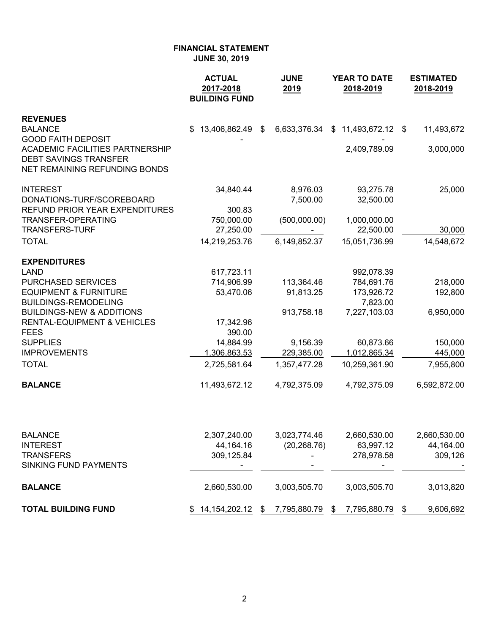|                                             | <b>ACTUAL</b><br>2017-2018<br><b>BUILDING FUND</b> | <b>JUNE</b><br>2019                       | <b>YEAR TO DATE</b><br>2018-2019 | <b>ESTIMATED</b><br>2018-2019 |  |
|---------------------------------------------|----------------------------------------------------|-------------------------------------------|----------------------------------|-------------------------------|--|
| <b>REVENUES</b>                             |                                                    |                                           |                                  |                               |  |
| <b>BALANCE</b><br><b>GOOD FAITH DEPOSIT</b> | 13,406,862.49<br>\$.                               | $\boldsymbol{\mathsf{s}}$<br>6,633,376.34 | 11,493,672.12<br>\$              | 11,493,672<br>\$              |  |
| <b>ACADEMIC FACILITIES PARTNERSHIP</b>      |                                                    |                                           | 2,409,789.09                     | 3,000,000                     |  |
| <b>DEBT SAVINGS TRANSFER</b>                |                                                    |                                           |                                  |                               |  |
| NET REMAINING REFUNDING BONDS               |                                                    |                                           |                                  |                               |  |
| <b>INTEREST</b>                             | 34,840.44                                          | 8,976.03                                  | 93,275.78                        | 25,000                        |  |
| DONATIONS-TURF/SCOREBOARD                   |                                                    | 7,500.00                                  | 32,500.00                        |                               |  |
| <b>REFUND PRIOR YEAR EXPENDITURES</b>       | 300.83                                             |                                           |                                  |                               |  |
| TRANSFER-OPERATING<br><b>TRANSFERS-TURF</b> | 750,000.00                                         | (500,000.00)                              | 1,000,000.00                     |                               |  |
| <b>TOTAL</b>                                | 27,250.00                                          |                                           | 22,500.00                        | 30,000                        |  |
|                                             | 14,219,253.76                                      | 6,149,852.37                              | 15,051,736.99                    | 14,548,672                    |  |
| <b>EXPENDITURES</b>                         |                                                    |                                           |                                  |                               |  |
| <b>LAND</b>                                 | 617,723.11                                         |                                           | 992,078.39                       |                               |  |
| <b>PURCHASED SERVICES</b>                   | 714,906.99                                         | 113,364.46                                | 784,691.76                       | 218,000                       |  |
| <b>EQUIPMENT &amp; FURNITURE</b>            | 53,470.06                                          | 91,813.25                                 | 173,926.72                       | 192,800                       |  |
| <b>BUILDINGS-REMODELING</b>                 |                                                    |                                           | 7,823.00                         |                               |  |
| <b>BUILDINGS-NEW &amp; ADDITIONS</b>        |                                                    | 913,758.18                                | 7,227,103.03                     | 6,950,000                     |  |
| <b>RENTAL-EQUIPMENT &amp; VEHICLES</b>      | 17,342.96                                          |                                           |                                  |                               |  |
| <b>FEES</b><br><b>SUPPLIES</b>              | 390.00<br>14,884.99                                | 9,156.39                                  | 60,873.66                        | 150,000                       |  |
| <b>IMPROVEMENTS</b>                         | 1,306,863.53                                       | 229,385.00                                | 1,012,865.34                     | 445,000                       |  |
| <b>TOTAL</b>                                | 2,725,581.64                                       | 1,357,477.28                              | 10,259,361.90                    | 7,955,800                     |  |
|                                             |                                                    |                                           |                                  |                               |  |
| <b>BALANCE</b>                              | 11,493,672.12                                      | 4,792,375.09                              | 4,792,375.09                     | 6,592,872.00                  |  |
|                                             |                                                    |                                           |                                  |                               |  |
| <b>BALANCE</b>                              | 2,307,240.00                                       | 3,023,774.46                              | 2,660,530.00                     | 2,660,530.00                  |  |
| <b>INTEREST</b>                             | 44,164.16                                          | (20, 268.76)                              | 63,997.12                        | 44,164.00                     |  |
| <b>TRANSFERS</b>                            | 309,125.84                                         |                                           | 278,978.58                       | 309,126                       |  |
| SINKING FUND PAYMENTS                       |                                                    |                                           |                                  |                               |  |

**BALANCE** 2,660,530.00 3,003,505.70 3,003,505.70 3,013,820 **TOTAL BUILDING FUND** \$ 14,154,202.12 \$ 7,795,880.79 \$ 7,795,880.79 \$ 9,606,692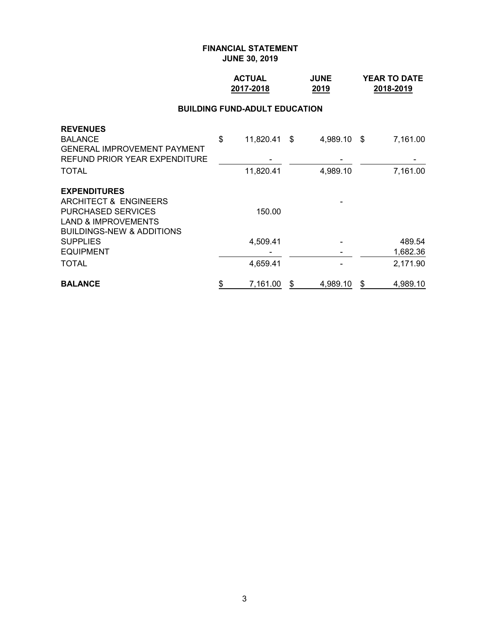## **ACTUAL JUNE YEAR TO DATE 2017-2018 2019 2018-2019**

### **BUILDING FUND-ADULT EDUCATION**

| <b>TOTAL</b>                                                               | 4,659.41           |          |      | 2,171.90 |
|----------------------------------------------------------------------------|--------------------|----------|------|----------|
| <b>EQUIPMENT</b>                                                           |                    |          |      | 1,682.36 |
| <b>SUPPLIES</b>                                                            | 4,509.41           |          |      | 489.54   |
| <b>LAND &amp; IMPROVEMENTS</b><br><b>BUILDINGS-NEW &amp; ADDITIONS</b>     |                    |          |      |          |
| <b>PURCHASED SERVICES</b>                                                  | 150.00             |          |      |          |
| ARCHITECT & ENGINEERS                                                      |                    |          |      |          |
| <b>EXPENDITURES</b>                                                        |                    |          |      |          |
| <b>TOTAL</b>                                                               | 11,820.41          | 4,989.10 |      | 7,161.00 |
| <b>GENERAL IMPROVEMENT PAYMENT</b><br><b>REFUND PRIOR YEAR EXPENDITURE</b> |                    |          |      |          |
| <b>REVENUES</b><br><b>BALANCE</b>                                          | \$<br>11,820.41 \$ | 4,989.10 | - \$ | 7,161.00 |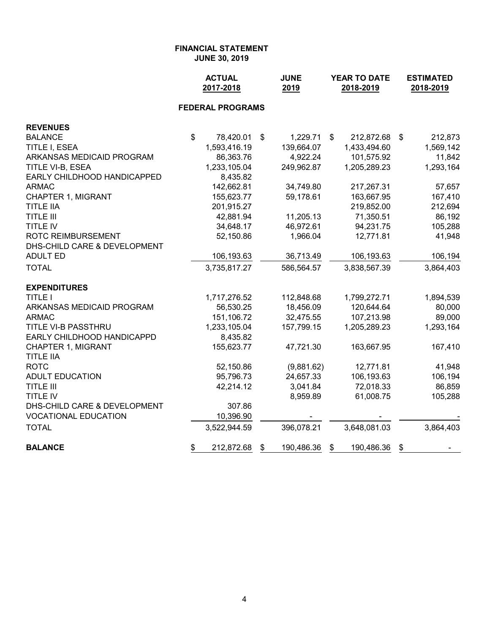|                                               | <b>ACTUAL</b><br>2017-2018 |                         | <b>JUNE</b><br>2019 | YEAR TO DATE<br>2018-2019 |              |    | <b>ESTIMATED</b><br>2018-2019 |
|-----------------------------------------------|----------------------------|-------------------------|---------------------|---------------------------|--------------|----|-------------------------------|
|                                               |                            | <b>FEDERAL PROGRAMS</b> |                     |                           |              |    |                               |
| <b>REVENUES</b>                               |                            |                         |                     |                           |              |    |                               |
| <b>BALANCE</b>                                | $\boldsymbol{\mathsf{S}}$  | 78,420.01               | \$<br>1,229.71      | \$                        | 212,872.68   | \$ | 212,873                       |
| TITLE I, ESEA                                 |                            | 1,593,416.19            | 139,664.07          |                           | 1,433,494.60 |    | 1,569,142                     |
| ARKANSAS MEDICAID PROGRAM                     |                            | 86,363.76               | 4,922.24            |                           | 101,575.92   |    | 11,842                        |
| TITLE VI-B, ESEA                              |                            | 1,233,105.04            | 249,962.87          |                           | 1,205,289.23 |    | 1,293,164                     |
| EARLY CHILDHOOD HANDICAPPED                   |                            | 8,435.82                |                     |                           |              |    |                               |
| <b>ARMAC</b>                                  |                            | 142,662.81              | 34,749.80           |                           | 217,267.31   |    | 57,657                        |
| <b>CHAPTER 1, MIGRANT</b>                     |                            | 155,623.77              | 59,178.61           |                           | 163,667.95   |    | 167,410                       |
| <b>TITLE IIA</b>                              |                            | 201,915.27              |                     |                           | 219,852.00   |    | 212,694                       |
| <b>TITLE III</b>                              |                            | 42,881.94               | 11,205.13           |                           | 71,350.51    |    | 86,192                        |
| <b>TITLE IV</b>                               |                            | 34,648.17               | 46,972.61           |                           | 94,231.75    |    | 105,288                       |
| ROTC REIMBURSEMENT                            |                            | 52,150.86               | 1,966.04            |                           | 12,771.81    |    | 41,948                        |
| DHS-CHILD CARE & DEVELOPMENT                  |                            |                         |                     |                           |              |    |                               |
| <b>ADULT ED</b>                               |                            | 106,193.63              | 36,713.49           |                           | 106,193.63   |    | 106,194                       |
| <b>TOTAL</b>                                  |                            | 3,735,817.27            | 586,564.57          |                           | 3,838,567.39 |    | 3,864,403                     |
| <b>EXPENDITURES</b>                           |                            |                         |                     |                           |              |    |                               |
| <b>TITLE I</b>                                |                            | 1,717,276.52            | 112,848.68          |                           | 1,799,272.71 |    | 1,894,539                     |
| ARKANSAS MEDICAID PROGRAM                     |                            | 56,530.25               | 18,456.09           |                           | 120,644.64   |    | 80,000                        |
| <b>ARMAC</b>                                  |                            | 151,106.72              | 32,475.55           |                           | 107,213.98   |    | 89,000                        |
| TITLE VI-B PASSTHRU                           |                            | 1,233,105.04            | 157,799.15          |                           | 1,205,289.23 |    | 1,293,164                     |
| EARLY CHILDHOOD HANDICAPPD                    |                            | 8,435.82                |                     |                           |              |    |                               |
| <b>CHAPTER 1, MIGRANT</b><br><b>TITLE IIA</b> |                            | 155,623.77              | 47,721.30           |                           | 163,667.95   |    | 167,410                       |
| <b>ROTC</b>                                   |                            | 52,150.86               | (9,881.62)          |                           | 12,771.81    |    | 41,948                        |
| <b>ADULT EDUCATION</b>                        |                            | 95,796.73               | 24,657.33           |                           | 106,193.63   |    | 106,194                       |
| <b>TITLE III</b>                              |                            | 42,214.12               | 3,041.84            |                           | 72,018.33    |    | 86,859                        |
| TITLE IV                                      |                            |                         | 8,959.89            |                           | 61,008.75    |    | 105,288                       |
| DHS-CHILD CARE & DEVELOPMENT                  |                            | 307.86                  |                     |                           |              |    |                               |
| <b>VOCATIONAL EDUCATION</b>                   |                            | 10,396.90               |                     |                           |              |    |                               |
| <b>TOTAL</b>                                  |                            | 3,522,944.59            | 396,078.21          |                           | 3,648,081.03 |    | 3,864,403                     |
| <b>BALANCE</b>                                | \$                         | 212,872.68              | \$<br>190,486.36    | \$                        | 190,486.36   | \$ |                               |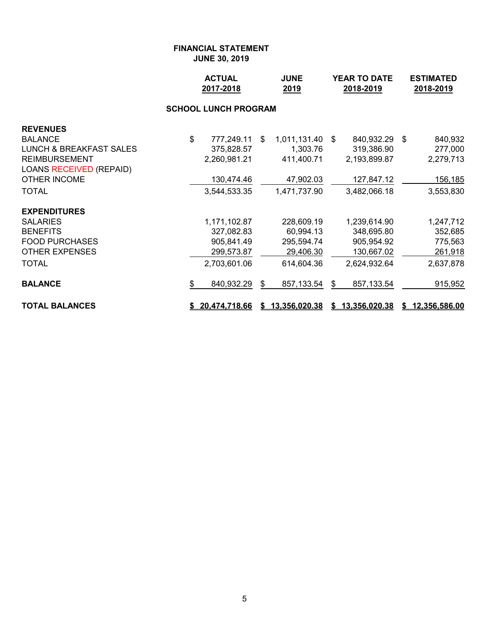|                                    |    | <b>ACTUAL</b><br>2017-2018  |    | <b>JUNE</b><br>2019    |    | YEAR TO DATE<br>2018-2019 | <b>ESTIMATED</b><br>2018-2019 |                 |  |
|------------------------------------|----|-----------------------------|----|------------------------|----|---------------------------|-------------------------------|-----------------|--|
|                                    |    | <b>SCHOOL LUNCH PROGRAM</b> |    |                        |    |                           |                               |                 |  |
| <b>REVENUES</b>                    |    |                             |    |                        |    |                           |                               |                 |  |
| <b>BALANCE</b>                     | \$ | 777,249.11                  | \$ | 1,011,131.40 \$        |    | 840,932.29 \$             |                               | 840,932         |  |
| <b>LUNCH &amp; BREAKFAST SALES</b> |    | 375,828.57                  |    | 1,303.76               |    | 319,386.90                |                               | 277,000         |  |
| <b>REIMBURSEMENT</b>               |    | 2,260,981.21                |    | 411,400.71             |    | 2,193,899.87              |                               | 2,279,713       |  |
| <b>LOANS RECEIVED (REPAID)</b>     |    |                             |    |                        |    |                           |                               |                 |  |
| <b>OTHER INCOME</b>                |    | 130,474.46                  |    | 47,902.03              |    | 127,847.12                |                               | 156,185         |  |
| <b>TOTAL</b>                       |    | 3,544,533.35                |    | 1,471,737.90           |    | 3,482,066.18              |                               | 3,553,830       |  |
| <b>EXPENDITURES</b>                |    |                             |    |                        |    |                           |                               |                 |  |
| <b>SALARIES</b>                    |    | 1,171,102.87                |    | 228,609.19             |    | 1,239,614.90              |                               | 1,247,712       |  |
| <b>BENEFITS</b>                    |    | 327,082.83                  |    | 60,994.13              |    | 348,695.80                |                               | 352,685         |  |
| <b>FOOD PURCHASES</b>              |    | 905,841.49                  |    | 295,594.74             |    | 905,954.92                |                               | 775,563         |  |
| <b>OTHER EXPENSES</b>              |    | 299,573.87                  |    | 29,406.30              |    | 130,667.02                |                               | 261,918         |  |
| <b>TOTAL</b>                       |    | 2,703,601.06                |    | 614,604.36             |    | 2,624,932.64              |                               | 2,637,878       |  |
| <b>BALANCE</b>                     | S  | 840,932.29                  | S  | 857,133.54             | -S | 857,133.54                |                               | 915,952         |  |
| <b>TOTAL BALANCES</b>              |    | \$20,474,718.66             |    | <u>\$13,356,020.38</u> |    | \$13,356,020.38           |                               | \$12,356,586.00 |  |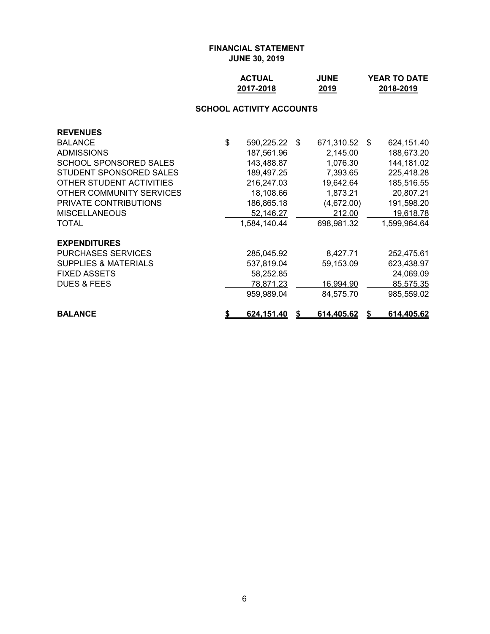| <b>ACTUAL</b> | <b>JUNE</b> | <b>YEAR TO DATE</b> |
|---------------|-------------|---------------------|
| 2017-2018     | 2019        | 2018-2019           |

# **SCHOOL ACTIVITY ACCOUNTS**

| <b>REVENUES</b>                 |                         |    |            |      |              |
|---------------------------------|-------------------------|----|------------|------|--------------|
| <b>BALANCE</b>                  | \$<br>590,225.22        | \$ | 671,310.52 | - \$ | 624,151.40   |
| <b>ADMISSIONS</b>               | 187,561.96              |    | 2,145.00   |      | 188,673.20   |
| <b>SCHOOL SPONSORED SALES</b>   | 143,488.87              |    | 1,076.30   |      | 144,181.02   |
| STUDENT SPONSORED SALES         | 189,497.25              |    | 7,393.65   |      | 225,418.28   |
| OTHER STUDENT ACTIVITIES        | 216,247.03              |    | 19,642.64  |      | 185,516.55   |
| OTHER COMMUNITY SERVICES        | 18,108.66               |    | 1,873.21   |      | 20,807.21    |
| PRIVATE CONTRIBUTIONS           | 186,865.18              |    | (4,672.00) |      | 191,598.20   |
| <b>MISCELLANEOUS</b>            | 52,146.27               |    | 212.00     |      | 19,618.78    |
| TOTAL                           | 1,584,140.44            |    | 698,981.32 |      | 1,599,964.64 |
| <b>EXPENDITURES</b>             |                         |    |            |      |              |
| <b>PURCHASES SERVICES</b>       | 285,045.92              |    | 8,427.71   |      | 252,475.61   |
| <b>SUPPLIES &amp; MATERIALS</b> | 537,819.04              |    | 59,153.09  |      | 623,438.97   |
| <b>FIXED ASSETS</b>             | 58,252.85               |    |            |      | 24,069.09    |
| <b>DUES &amp; FEES</b>          | 78,871.23               |    | 16,994.90  |      | 85,575.35    |
|                                 | 959,989.04              |    | 84,575.70  |      | 985,559.02   |
| <b>BALANCE</b>                  | \$<br><u>624,151.40</u> | S  | 614,405.62 | S    | 614,405.62   |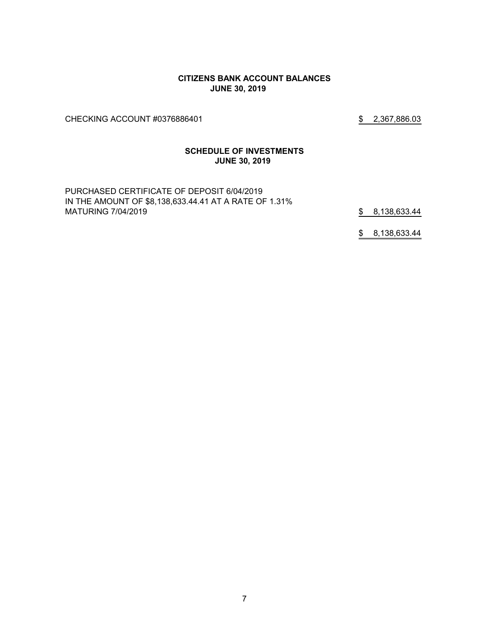### **CITIZENS BANK ACCOUNT BALANCES JUNE 30, 2019**

CHECKING ACCOUNT #0376886401 \$2,367,886.03

### **SCHEDULE OF INVESTMENTS JUNE 30, 2019**

PURCHASED CERTIFICATE OF DEPOSIT 6/04/2019 IN THE AMOUNT OF \$8,138,633.44.41 AT A RATE OF 1.31% MATURING 7/04/2019 **8.138,633.44** 

\$ 8,138,633.44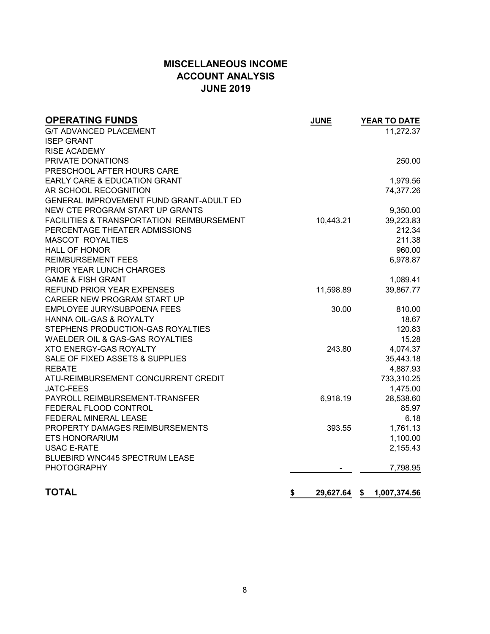# **MISCELLANEOUS INCOME ACCOUNT ANALYSIS JUNE 2019**

| <b>OPERATING FUNDS</b>                    | <b>JUNE</b>        | YEAR TO DATE |
|-------------------------------------------|--------------------|--------------|
| <b>G/T ADVANCED PLACEMENT</b>             |                    | 11,272.37    |
| <b>ISEP GRANT</b>                         |                    |              |
| <b>RISE ACADEMY</b>                       |                    |              |
| PRIVATE DONATIONS                         |                    | 250.00       |
| PRESCHOOL AFTER HOURS CARE                |                    |              |
| <b>EARLY CARE &amp; EDUCATION GRANT</b>   |                    | 1,979.56     |
| AR SCHOOL RECOGNITION                     |                    | 74,377.26    |
| GENERAL IMPROVEMENT FUND GRANT-ADULT ED   |                    |              |
| NEW CTE PROGRAM START UP GRANTS           |                    | 9,350.00     |
| FACILITIES & TRANSPORTATION REIMBURSEMENT | 10,443.21          | 39,223.83    |
| PERCENTAGE THEATER ADMISSIONS             |                    | 212.34       |
| <b>MASCOT ROYALTIES</b>                   |                    | 211.38       |
| <b>HALL OF HONOR</b>                      |                    | 960.00       |
| <b>REIMBURSEMENT FEES</b>                 |                    | 6,978.87     |
| PRIOR YEAR LUNCH CHARGES                  |                    |              |
| <b>GAME &amp; FISH GRANT</b>              |                    | 1,089.41     |
| <b>REFUND PRIOR YEAR EXPENSES</b>         | 11,598.89          | 39,867.77    |
| CAREER NEW PROGRAM START UP               |                    |              |
| EMPLOYEE JURY/SUBPOENA FEES               | 30.00              | 810.00       |
| HANNA OIL-GAS & ROYALTY                   |                    | 18.67        |
| STEPHENS PRODUCTION-GAS ROYALTIES         |                    | 120.83       |
| WAELDER OIL & GAS-GAS ROYALTIES           |                    | 15.28        |
| XTO ENERGY-GAS ROYALTY                    | 243.80             | 4,074.37     |
| SALE OF FIXED ASSETS & SUPPLIES           |                    | 35,443.18    |
| <b>REBATE</b>                             |                    | 4,887.93     |
| ATU-REIMBURSEMENT CONCURRENT CREDIT       |                    | 733,310.25   |
| <b>JATC-FEES</b>                          |                    | 1,475.00     |
| PAYROLL REIMBURSEMENT-TRANSFER            | 6,918.19           | 28,538.60    |
| FEDERAL FLOOD CONTROL                     |                    | 85.97        |
| FEDERAL MINERAL LEASE                     |                    | 6.18         |
| PROPERTY DAMAGES REIMBURSEMENTS           | 393.55             | 1,761.13     |
| <b>ETS HONORARIUM</b>                     |                    | 1,100.00     |
| <b>USAC E-RATE</b>                        |                    | 2,155.43     |
| <b>BLUEBIRD WNC445 SPECTRUM LEASE</b>     |                    |              |
| <b>PHOTOGRAPHY</b>                        |                    | 7,798.95     |
| <b>TOTAL</b>                              | \$<br>29,627.64 \$ | 1,007,374.56 |
|                                           |                    |              |